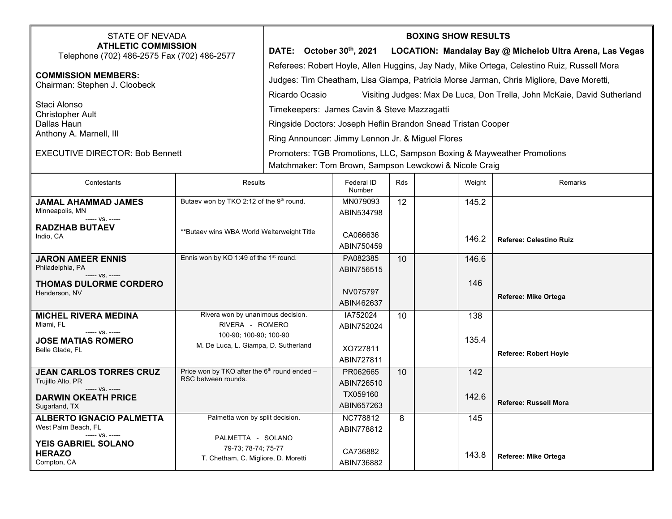| <b>STATE OF NEVADA</b><br><b>ATHLETIC COMMISSION</b><br>Telephone (702) 486-2575 Fax (702) 486-2577<br><b>COMMISSION MEMBERS:</b><br>Chairman: Stephen J. Cloobeck<br>Staci Alonso<br><b>Christopher Ault</b><br>Dallas Haun<br>Anthony A. Marnell, III<br><b>EXECUTIVE DIRECTOR: Bob Bennett</b> |                                                                                        | <b>BOXING SHOW RESULTS</b><br>DATE: October 30th, 2021 LOCATION: Mandalay Bay @ Michelob Ultra Arena, Las Vegas<br>Referees: Robert Hoyle, Allen Huggins, Jay Nady, Mike Ortega, Celestino Ruiz, Russell Mora<br>Judges: Tim Cheatham, Lisa Giampa, Patricia Morse Jarman, Chris Migliore, Dave Moretti,<br>Ricardo Ocasio<br>Visiting Judges: Max De Luca, Don Trella, John McKaie, David Sutherland<br>Timekeepers: James Cavin & Steve Mazzagatti<br>Ringside Doctors: Joseph Heflin Brandon Snead Tristan Cooper<br>Ring Announcer: Jimmy Lennon Jr. & Miguel Flores<br>Promoters: TGB Promotions, LLC, Sampson Boxing & Mayweather Promotions |                                      |            |              |                                |  |  |
|---------------------------------------------------------------------------------------------------------------------------------------------------------------------------------------------------------------------------------------------------------------------------------------------------|----------------------------------------------------------------------------------------|----------------------------------------------------------------------------------------------------------------------------------------------------------------------------------------------------------------------------------------------------------------------------------------------------------------------------------------------------------------------------------------------------------------------------------------------------------------------------------------------------------------------------------------------------------------------------------------------------------------------------------------------------|--------------------------------------|------------|--------------|--------------------------------|--|--|
|                                                                                                                                                                                                                                                                                                   |                                                                                        | Matchmaker: Tom Brown, Sampson Lewckowi & Nicole Craig                                                                                                                                                                                                                                                                                                                                                                                                                                                                                                                                                                                             |                                      |            |              |                                |  |  |
| Contestants                                                                                                                                                                                                                                                                                       | <b>Results</b>                                                                         |                                                                                                                                                                                                                                                                                                                                                                                                                                                                                                                                                                                                                                                    | Federal ID<br>Number                 | <b>Rds</b> | Weight       | <b>Remarks</b>                 |  |  |
| <b>JAMAL AHAMMAD JAMES</b><br>Minneapolis, MN<br>----- VS. -----                                                                                                                                                                                                                                  | Butaev won by TKO 2:12 of the 9th round.<br>**Butaev wins WBA World Welterweight Title |                                                                                                                                                                                                                                                                                                                                                                                                                                                                                                                                                                                                                                                    | MN079093<br>ABIN534798               | 12         | 145.2        |                                |  |  |
| <b>RADZHAB BUTAEV</b><br>Indio, CA                                                                                                                                                                                                                                                                |                                                                                        |                                                                                                                                                                                                                                                                                                                                                                                                                                                                                                                                                                                                                                                    | CA066636<br>ABIN750459               |            | 146.2        | <b>Referee: Celestino Ruiz</b> |  |  |
| <b>JARON AMEER ENNIS</b><br>Philadelphia, PA<br>----- VS. -----                                                                                                                                                                                                                                   | Ennis won by KO 1:49 of the 1 <sup>st</sup> round.                                     |                                                                                                                                                                                                                                                                                                                                                                                                                                                                                                                                                                                                                                                    | PA082385<br>ABIN756515               | 10         | 146.6        |                                |  |  |
| <b>THOMAS DULORME CORDERO</b><br>Henderson, NV                                                                                                                                                                                                                                                    |                                                                                        |                                                                                                                                                                                                                                                                                                                                                                                                                                                                                                                                                                                                                                                    | NV075797<br>ABIN462637               |            | 146          | Referee: Mike Ortega           |  |  |
| <b>MICHEL RIVERA MEDINA</b><br>Miami, FL                                                                                                                                                                                                                                                          | Rivera won by unanimous decision.<br>RIVERA - ROMERO                                   |                                                                                                                                                                                                                                                                                                                                                                                                                                                                                                                                                                                                                                                    | IA752024<br>ABIN752024               | 10         | 138          |                                |  |  |
| ----- VS. -----<br><b>JOSE MATIAS ROMERO</b><br>Belle Glade, FL                                                                                                                                                                                                                                   | 100-90; 100-90; 100-90<br>M. De Luca, L. Giampa, D. Sutherland                         |                                                                                                                                                                                                                                                                                                                                                                                                                                                                                                                                                                                                                                                    | XO727811<br>ABIN727811               |            | 135.4        | <b>Referee: Robert Hoyle</b>   |  |  |
| <b>JEAN CARLOS TORRES CRUZ</b><br>Trujillo Alto, PR<br>----- VS. -----<br><b>DARWIN OKEATH PRICE</b>                                                                                                                                                                                              | Price won by TKO after the $6th$ round ended -<br>RSC between rounds.                  |                                                                                                                                                                                                                                                                                                                                                                                                                                                                                                                                                                                                                                                    | PR062665<br>ABIN726510<br>TX059160   | 10         | 142<br>142.6 | Referee: Russell Mora          |  |  |
| Sugarland, IX<br><b>ALBERTO IGNACIO PALMETTA</b><br>West Palm Beach, FL                                                                                                                                                                                                                           | Palmetta won by split decision.                                                        |                                                                                                                                                                                                                                                                                                                                                                                                                                                                                                                                                                                                                                                    | ABIN657263<br>NC778812<br>ABIN778812 | 8          | 145          |                                |  |  |
| $--- VS. ---$<br>YEIS GABRIEL SOLANO<br><b>HERAZO</b><br>Compton, CA                                                                                                                                                                                                                              | PALMETTA - SOLANO<br>79-73; 78-74; 75-77<br>T. Chetham, C. Migliore, D. Moretti        |                                                                                                                                                                                                                                                                                                                                                                                                                                                                                                                                                                                                                                                    | CA736882<br>ABIN736882               |            | 143.8        | Referee: Mike Ortega           |  |  |